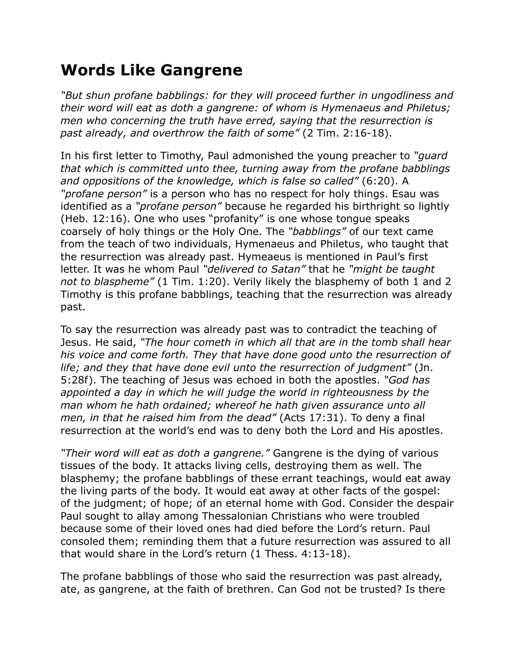## **Words Like Gangrene**

*"But shun profane babblings: for they will proceed further in ungodliness and their word will eat as doth a gangrene: of whom is Hymenaeus and Philetus; men who concerning the truth have erred, saying that the resurrection is past already, and overthrow the faith of some"* (2 Tim. 2:16-18).

In his first letter to Timothy, Paul admonished the young preacher to *"guard that which is committed unto thee, turning away from the profane babblings and oppositions of the knowledge, which is false so called"* (6:20). A *"profane person"* is a person who has no respect for holy things. Esau was identified as a *"profane person"* because he regarded his birthright so lightly (Heb. 12:16). One who uses "profanity" is one whose tongue speaks coarsely of holy things or the Holy One. The *"babblings"* of our text came from the teach of two individuals, Hymenaeus and Philetus, who taught that the resurrection was already past. Hymeaeus is mentioned in Paul's first letter. It was he whom Paul *"delivered to Satan"* that he *"might be taught not to blaspheme"* (1 Tim. 1:20). Verily likely the blasphemy of both 1 and 2 Timothy is this profane babblings, teaching that the resurrection was already past.

To say the resurrection was already past was to contradict the teaching of Jesus. He said, *"The hour cometh in which all that are in the tomb shall hear his voice and come forth. They that have done good unto the resurrection of life; and they that have done evil unto the resurrection of judgment"* (Jn. 5:28f). The teaching of Jesus was echoed in both the apostles. *"God has appointed a day in which he will judge the world in righteousness by the man whom he hath ordained; whereof he hath given assurance unto all men, in that he raised him from the dead"* (Acts 17:31). To deny a final resurrection at the world's end was to deny both the Lord and His apostles.

*"Their word will eat as doth a gangrene."* Gangrene is the dying of various tissues of the body. It attacks living cells, destroying them as well. The blasphemy; the profane babblings of these errant teachings, would eat away the living parts of the body. It would eat away at other facts of the gospel: of the judgment; of hope; of an eternal home with God. Consider the despair Paul sought to allay among Thessalonian Christians who were troubled because some of their loved ones had died before the Lord's return. Paul consoled them; reminding them that a future resurrection was assured to all that would share in the Lord's return (1 Thess. 4:13-18).

The profane babblings of those who said the resurrection was past already, ate, as gangrene, at the faith of brethren. Can God not be trusted? Is there